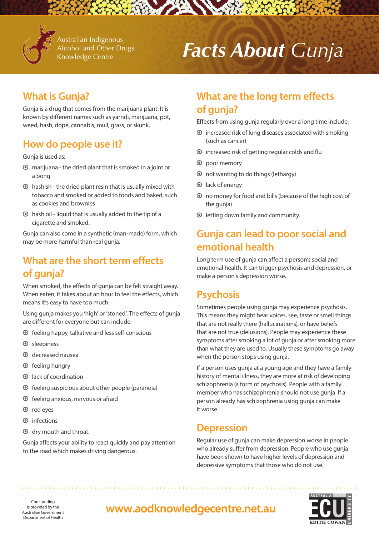

Australian Indigenous Alcohol and Other Drugs Knowledge Centre

# *Facts About Gunja*

# **What is Gunja?**

Gunja is a drug that comes from the marijuana plant. It is known by different names such as yarndi, marijuana, pot, weed, hash, dope, cannabis, mull, grass, or skunk.

# **How do people use it?**

Gunja is used as:

- $\odot$  marijuana the dried plant that is smoked in a joint or a bong
- $\odot$  hashish the dried plant resin that is usually mixed with tobacco and smoked or added to foods and baked, such as cookies and brownies
- $\odot$  hash oil liquid that is usually added to the tip of a cigarette and smoked.

Gunja can also come in a synthetic (man-made) form, which may be more harmful than real gunja.

# **What are the short term effects of gunja?**

When smoked, the effects of gunja can be felt straight away. When eaten, it takes about an hour to feel the effects, which means it's easy to have too much.

Using gunja makes you 'high' or 'stoned'. The effects of gunja are different for everyone but can include:

- $\odot$  feeling happy, talkative and less self-conscious
- $\odot$  sleepiness
- decreased nausea
- $\odot$  feeling hungry
- lack of coordination
- $\odot$  feeling suspicious about other people (paranoia)
- $\odot$  feeling anxious, nervous or afraid
- red eyes
- $\odot$  infections
- dry mouth and throat.

Gunja affects your ability to react quickly and pay attention to the road which makes driving dangerous.

# **What are the long term effects of gunja?**

Effects from using gunja regularly over a long time include:

- $\odot$  increased risk of lung diseases associated with smoking (such as cancer)
- $\odot$  increased risk of getting regular colds and flu
- $\odot$  poor memory
- not wanting to do things (lethargy)
- lack of energy
- no money for food and bills (because of the high cost of the gunja)
- $\odot$  letting down family and community.

# **Gunja can lead to poor social and emotional health**

Long term use of gunja can affect a person's social and emotional health. It can trigger psychosis and depression, or make a person's depression worse.

# **Psychosis**

Sometimes people using gunja may experience psychosis. This means they might hear voices, see, taste or smell things that are not really there (hallucinations), or have beliefs that are not true (delusions). People may experience these symptoms after smoking a lot of gunja or after smoking more than what they are used to. Usually these symptoms go away when the person stops using gunja.

If a person uses gunja at a young age and they have a family history of mental illness, they are more at risk of developing schizophrenia (a form of psychosis). People with a family member who has schizophrenia should not use gunja. If a person already has schizophrenia using gunja can make it worse.

### **Depression**

Regular use of gunja can make depression worse in people who already suffer from depression. People who use gunja have been shown to have higher levels of depression and depressive symptoms that those who do not use.



is provided by the Australian Government Department of Health

# *Core funding*<br>provided by the **www.aodknowledgecentre.net.au**